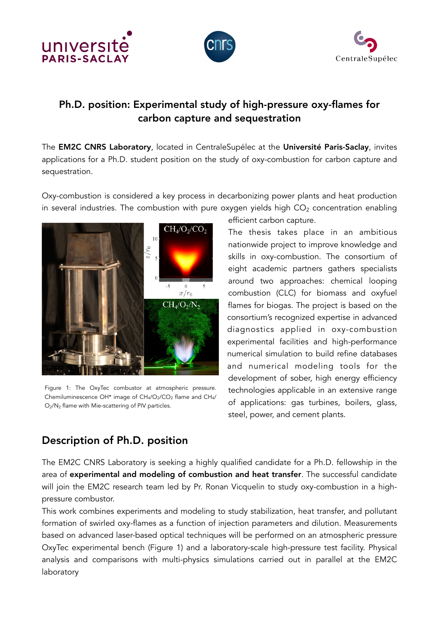





## Ph.D. position: Experimental study of high-pressure oxy-flames for carbon capture and sequestration

The EM2C CNRS Laboratory, located in CentraleSupélec at the Université Paris-Saclay, invites applications for a Ph.D. student position on the study of oxy-combustion for carbon capture and sequestration.

Oxy-combustion is considered a key process in decarbonizing power plants and heat production in several industries. The combustion with pure oxygen yields high  $CO<sub>2</sub>$  concentration enabling



Figure 1: The OxyTec combustor at atmospheric pressure. Chemiluminescence OH\* image of  $CH_4/O_2/CO_2$  flame and  $CH_4/O_2$ O<sub>2</sub>/N<sub>2</sub> flame with Mie-scattering of PIV particles.

efficient carbon capture.

The thesis takes place in an ambitious nationwide project to improve knowledge and skills in oxy-combustion. The consortium of eight academic partners gathers specialists around two approaches: chemical looping combustion (CLC) for biomass and oxyfuel flames for biogas. The project is based on the consortium's recognized expertise in advanced diagnostics applied in oxy-combustion experimental facilities and high-performance numerical simulation to build refine databases and numerical modeling tools for the development of sober, high energy efficiency technologies applicable in an extensive range of applications: gas turbines, boilers, glass, steel, power, and cement plants.

## Description of Ph.D. position

The EM2C CNRS Laboratory is seeking a highly qualified candidate for a Ph.D. fellowship in the area of experimental and modeling of combustion and heat transfer. The successful candidate will join the EM2C research team led by Pr. Ronan Vicquelin to study oxy-combustion in a highpressure combustor.

This work combines experiments and modeling to study stabilization, heat transfer, and pollutant formation of swirled oxy-flames as a function of injection parameters and dilution. Measurements based on advanced laser-based optical techniques will be performed on an atmospheric pressure OxyTec experimental bench (Figure 1) and a laboratory-scale high-pressure test facility. Physical analysis and comparisons with multi-physics simulations carried out in parallel at the EM2C laboratory